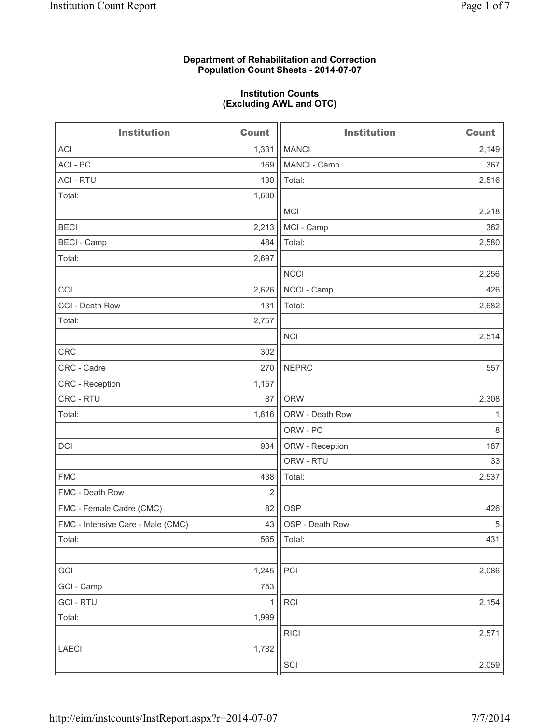## **Department of Rehabilitation and Correction Population Count Sheets - 2014-07-07**

## **Institution Counts (Excluding AWL and OTC)**

| <b>Institution</b>                | <b>Count</b> | <b>Institution</b> | <b>Count</b> |
|-----------------------------------|--------------|--------------------|--------------|
| <b>ACI</b>                        | 1,331        | <b>MANCI</b>       | 2,149        |
| ACI - PC                          | 169          | MANCI - Camp       | 367          |
| <b>ACI - RTU</b>                  | 130          | Total:             | 2,516        |
| Total:                            | 1,630        |                    |              |
|                                   |              | <b>MCI</b>         | 2,218        |
| <b>BECI</b>                       | 2,213        | MCI - Camp         | 362          |
| <b>BECI - Camp</b>                | 484          | Total:             | 2,580        |
| Total:                            | 2,697        |                    |              |
|                                   |              | <b>NCCI</b>        | 2,256        |
| CCI                               | 2,626        | NCCI - Camp        | 426          |
| CCI - Death Row                   | 131          | Total:             | 2,682        |
| Total:                            | 2,757        |                    |              |
|                                   |              | <b>NCI</b>         | 2,514        |
| CRC                               | 302          |                    |              |
| CRC - Cadre                       | 270          | <b>NEPRC</b>       | 557          |
| CRC - Reception                   | 1,157        |                    |              |
| CRC - RTU                         | 87           | <b>ORW</b>         | 2,308        |
| Total:                            | 1,816        | ORW - Death Row    | 1            |
|                                   |              | ORW - PC           | $\,8\,$      |
| <b>DCI</b>                        | 934          | ORW - Reception    | 187          |
|                                   |              | ORW - RTU          | 33           |
| <b>FMC</b>                        | 438          | Total:             | 2,537        |
| FMC - Death Row                   | 2            |                    |              |
| FMC - Female Cadre (CMC)          | 82           | <b>OSP</b>         | 426          |
| FMC - Intensive Care - Male (CMC) | 43           | OSP - Death Row    | $\sqrt{5}$   |
| Total:                            | 565          | Total:             | 431          |
|                                   |              |                    |              |
| GCI                               | 1,245        | PCI                | 2,086        |
| GCI - Camp                        | 753          |                    |              |
| <b>GCI-RTU</b>                    | 1            | <b>RCI</b>         | 2,154        |
| Total:                            | 1,999        |                    |              |
|                                   |              | <b>RICI</b>        | 2,571        |
| <b>LAECI</b>                      | 1,782        |                    |              |
|                                   |              | SCI                | 2,059        |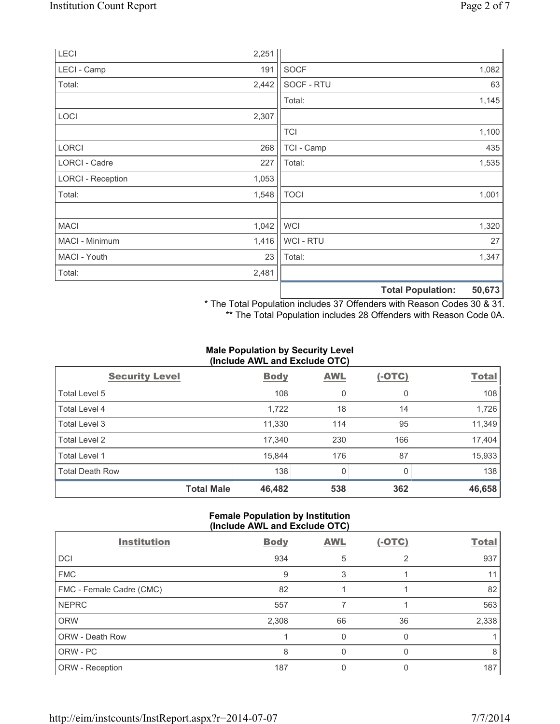|                          |       |                | <b>Total Population:</b><br>50,673 |
|--------------------------|-------|----------------|------------------------------------|
| Total:                   | 2,481 |                |                                    |
| MACI - Youth             | 23    | Total:         | 1,347                              |
| MACI - Minimum           | 1,416 | <b>WCI-RTU</b> | 27                                 |
| <b>MACI</b>              | 1,042 | <b>WCI</b>     | 1,320                              |
| Total:                   | 1,548 | <b>TOCI</b>    | 1,001                              |
| <b>LORCI - Reception</b> | 1,053 |                |                                    |
| LORCI - Cadre            | 227   | Total:         | 1,535                              |
| <b>LORCI</b>             | 268   | TCI - Camp     | 435                                |
|                          |       | <b>TCI</b>     | 1,100                              |
| LOCI                     | 2,307 |                |                                    |
|                          |       | Total:         | 1,145                              |
| Total:                   | 2,442 | SOCF - RTU     | 63                                 |
| LECI - Camp              | 191   | <b>SOCF</b>    | 1,082                              |
| LECI                     | 2,251 |                |                                    |

\* The Total Population includes 37 Offenders with Reason Codes 30 & 31.

\*\* The Total Population includes 28 Offenders with Reason Code 0A.

## **Male Population by Security Level (Include AWL and Exclude OTC)**

| $\frac{1}{2}$          |                             |            |          |              |
|------------------------|-----------------------------|------------|----------|--------------|
| <b>Security Level</b>  | <b>Body</b>                 | <b>AWL</b> | $(-OTC)$ | <b>Total</b> |
| Total Level 5          | 108                         | 0          | 0        | 108          |
| Total Level 4          | 1,722                       | 18         | 14       | 1,726        |
| Total Level 3          | 11,330                      | 114        | 95       | 11,349       |
| Total Level 2          | 17,340                      | 230        | 166      | 17,404       |
| Total Level 1          | 15,844                      | 176        | 87       | 15,933       |
| <b>Total Death Row</b> | 138                         | 0          | 0        | 138          |
|                        | <b>Total Male</b><br>46,482 | 538        | 362      | 46,658       |

# **Female Population by Institution (Include AWL and Exclude OTC)**

| <b>Institution</b>       | <b>Body</b> | <b>AWL</b> | $(-OTC)$ | <b>Total</b> |
|--------------------------|-------------|------------|----------|--------------|
| DCI                      | 934         | 5          | 2        | 937          |
| <b>FMC</b>               | 9           | 3          |          | 11           |
| FMC - Female Cadre (CMC) | 82          |            |          | 82           |
| <b>NEPRC</b>             | 557         |            |          | 563          |
| <b>ORW</b>               | 2,308       | 66         | 36       | 2,338        |
| ORW - Death Row          |             | 0          |          |              |
| ORW - PC                 | 8           | 0          | O        | 8            |
| ORW - Reception          | 187         |            |          | 187          |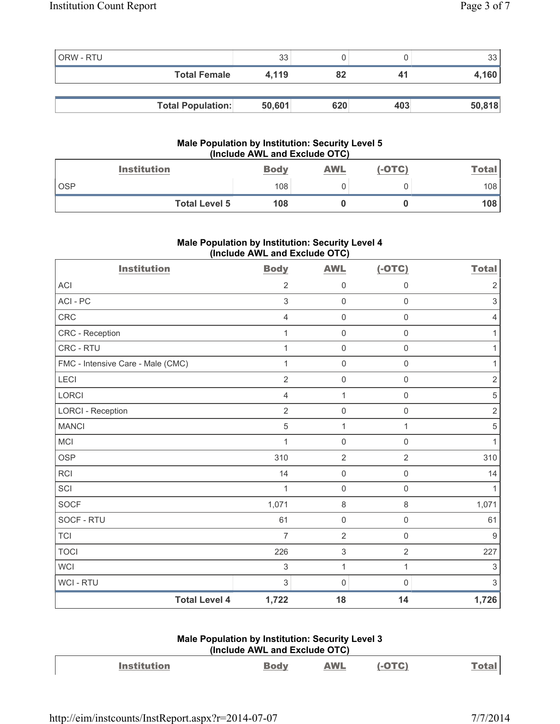| <b>ORW - RTU</b> |                          | 33     |     |     | 33     |
|------------------|--------------------------|--------|-----|-----|--------|
|                  | <b>Total Female</b>      | 4,119  | 82  | 41  | 4,160  |
|                  |                          |        |     |     |        |
|                  | <b>Total Population:</b> | 50,601 | 620 | 403 | 50,818 |

## **Male Population by Institution: Security Level 5 (Include AWL and Exclude OTC)**

| <b>Institution</b>   | <b>Body</b> | <b>AWL</b> | (-OTC) | Total |
|----------------------|-------------|------------|--------|-------|
| <b>OSP</b>           | 108         |            |        | 108   |
| <b>Total Level 5</b> | 108         |            |        | 108   |

# **Male Population by Institution: Security Level 4 (Include AWL and Exclude OTC)**

| <b>Institution</b>                | <b>Body</b>    | <b>AWL</b>                | $(-OTC)$            | <b>Total</b>   |
|-----------------------------------|----------------|---------------------------|---------------------|----------------|
| <b>ACI</b>                        | $\overline{2}$ | $\mathbf 0$               | $\mathbf 0$         | $\sqrt{2}$     |
| ACI-PC                            | 3              | $\mathbf 0$               | $\mathsf 0$         | $\mathfrak{Z}$ |
| CRC                               | $\overline{4}$ | $\mathsf{O}\xspace$       | $\mathsf 0$         | $\overline{4}$ |
| CRC - Reception                   | 1              | $\mathsf{O}\xspace$       | $\mathsf{O}\xspace$ | 1              |
| CRC - RTU                         | 1              | $\mathbf 0$               | $\mathsf 0$         | $\mathbf{1}$   |
| FMC - Intensive Care - Male (CMC) | $\mathbf{1}$   | $\mathbf 0$               | $\mathsf{O}\xspace$ | $\mathbf{1}$   |
| LECI                              | $\overline{2}$ | $\mathsf 0$               | $\mathsf{O}\xspace$ | $\sqrt{2}$     |
| LORCI                             | $\overline{4}$ | $\mathbf{1}$              | $\mathsf 0$         | $\sqrt{5}$     |
| <b>LORCI - Reception</b>          | $\overline{2}$ | $\mathsf{O}\xspace$       | $\mathsf{O}\xspace$ | $\sqrt{2}$     |
| <b>MANCI</b>                      | 5              | $\mathbf{1}$              | 1                   | $\overline{5}$ |
| <b>MCI</b>                        | 1              | $\mathbf 0$               | $\mathsf{O}\xspace$ | $\mathbf{1}$   |
| <b>OSP</b>                        | 310            | $\overline{2}$            | $\overline{2}$      | 310            |
| RCI                               | 14             | $\mathbf 0$               | $\mathsf{O}\xspace$ | 14             |
| SCI                               | 1              | $\mathbf 0$               | $\mathsf 0$         | $\mathbf{1}$   |
| <b>SOCF</b>                       | 1,071          | $\,8\,$                   | 8                   | 1,071          |
| SOCF - RTU                        | 61             | $\mathsf{O}\xspace$       | $\mathsf 0$         | 61             |
| <b>TCI</b>                        | $\overline{7}$ | $\overline{2}$            | $\mathsf 0$         | 9              |
| <b>TOCI</b>                       | 226            | $\ensuremath{\mathsf{3}}$ | $\overline{2}$      | 227            |
| <b>WCI</b>                        | 3              | $\mathbf{1}$              | $\mathbf{1}$        | $\mathfrak{S}$ |
| WCI - RTU                         | 3              | 0                         | 0                   | $\mathfrak{Z}$ |
| <b>Total Level 4</b>              | 1,722          | 18                        | 14                  | 1,726          |

# **Male Population by Institution: Security Level 3 (Include AWL and Exclude OTC)**

| <b>Institution</b> | <b>Body</b> | <b>AWL</b> | $(-OTC)$ | <b>Total</b> |
|--------------------|-------------|------------|----------|--------------|
|                    |             |            |          |              |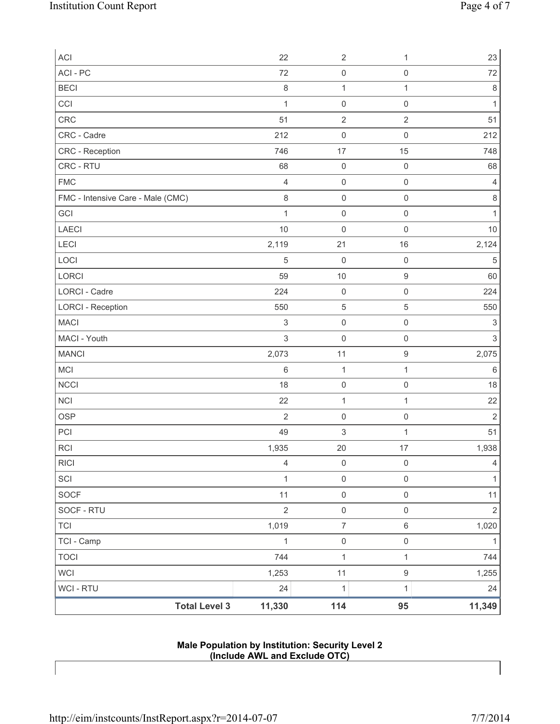| ACI                               | 22             | $\sqrt{2}$          | 1                   | 23             |
|-----------------------------------|----------------|---------------------|---------------------|----------------|
| ACI - PC                          | 72             | $\mathsf{O}\xspace$ | $\mathsf 0$         | 72             |
| <b>BECI</b>                       | $\,8\,$        | $\mathbf 1$         | 1                   | $\,8\,$        |
| CCI                               | $\mathbf{1}$   | $\mathbf 0$         | $\mathsf 0$         | $\mathbf 1$    |
| CRC                               | 51             | $\overline{2}$      | $\sqrt{2}$          | 51             |
| CRC - Cadre                       | 212            | $\mathsf{O}\xspace$ | $\mathsf 0$         | 212            |
| CRC - Reception                   | 746            | 17                  | 15                  | 748            |
| CRC - RTU                         | 68             | $\mathsf{O}\xspace$ | $\mathsf 0$         | 68             |
| <b>FMC</b>                        | $\overline{4}$ | $\mathsf 0$         | $\mathsf 0$         | $\overline{4}$ |
| FMC - Intensive Care - Male (CMC) | $\,8\,$        | $\mathsf{O}\xspace$ | $\mathbf 0$         | 8              |
| GCI                               | $\mathbf{1}$   | $\mathsf 0$         | $\mathbf 0$         | $\mathbf{1}$   |
| LAECI                             | 10             | $\mathsf{O}\xspace$ | $\mathsf 0$         | $10$           |
| <b>LECI</b>                       | 2,119          | 21                  | 16                  | 2,124          |
| LOCI                              | $\sqrt{5}$     | $\mathbf 0$         | $\mathsf 0$         | 5              |
| LORCI                             | 59             | $10$                | $\boldsymbol{9}$    | 60             |
| <b>LORCI - Cadre</b>              | 224            | $\mathsf{O}\xspace$ | $\mathsf 0$         | 224            |
| <b>LORCI - Reception</b>          | 550            | $\sqrt{5}$          | $\sqrt{5}$          | 550            |
| <b>MACI</b>                       | $\mathsf 3$    | $\mathsf 0$         | $\mathsf 0$         | $\sqrt{3}$     |
| MACI - Youth                      | $\mathsf 3$    | $\mathsf{O}\xspace$ | $\mathsf 0$         | $\mathsf 3$    |
| <b>MANCI</b>                      | 2,073          | 11                  | $\boldsymbol{9}$    | 2,075          |
| MCI                               | $\,$ 6 $\,$    | $\mathbf{1}$        | 1                   | $\,6\,$        |
| NCCI                              | 18             | $\mathsf{O}\xspace$ | $\mathsf 0$         | 18             |
| <b>NCI</b>                        | 22             | $\mathbf 1$         | $\mathbf{1}$        | 22             |
| <b>OSP</b>                        | $\overline{2}$ | $\mathsf{O}\xspace$ | $\mathsf 0$         | $\mathbf 2$    |
| PCI                               | 49             | 3                   | 1                   | 51             |
| <b>RCI</b>                        | 1,935          | 20                  | 17                  | 1,938          |
| <b>RICI</b>                       | $\overline{4}$ | $\mathsf 0$         | $\mathsf 0$         | $\overline{4}$ |
| SCI                               | 1              | $\mathsf{O}\xspace$ | $\mathsf{O}\xspace$ | 1              |
| <b>SOCF</b>                       | 11             | $\mathsf{O}\xspace$ | $\mathsf{O}\xspace$ | 11             |
| SOCF - RTU                        | $\overline{2}$ | $\mathsf 0$         | $\mathsf{O}\xspace$ | $\overline{2}$ |
| <b>TCI</b>                        | 1,019          | $\overline{7}$      | $\,6\,$             | 1,020          |
| TCI - Camp                        | $\mathbf{1}$   | $\mathsf{O}\xspace$ | $\mathsf{O}\xspace$ | $\mathbf{1}$   |
| <b>TOCI</b>                       | 744            | $\mathbf 1$         | 1                   | 744            |
| <b>WCI</b>                        | 1,253          | 11                  | $\boldsymbol{9}$    | 1,255          |
| <b>WCI - RTU</b>                  | 24             | $\mathbf{1}$        | 1                   | 24             |
| <b>Total Level 3</b>              | 11,330         | 114                 | 95                  | 11,349         |

## **Male Population by Institution: Security Level 2 (Include AWL and Exclude OTC)**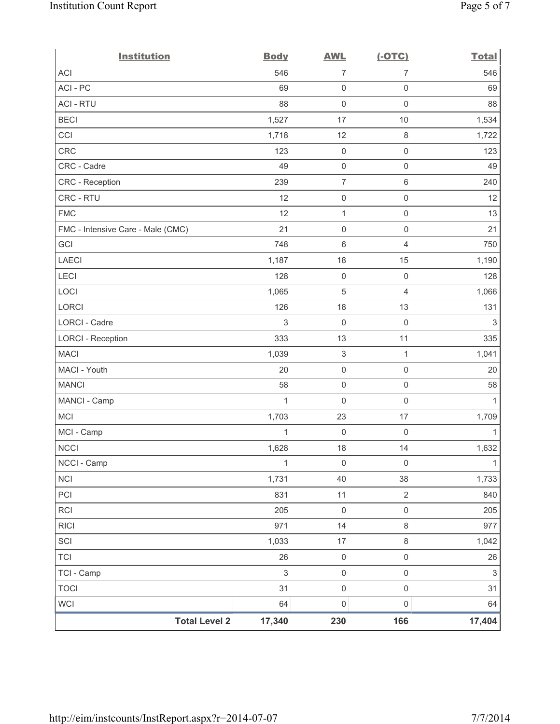| <b>Institution</b>                | <b>Body</b>  | <b>AWL</b>                | $(-OTC)$            | <b>Total</b>   |
|-----------------------------------|--------------|---------------------------|---------------------|----------------|
| <b>ACI</b>                        | 546          | $\overline{7}$            | $\overline{7}$      | 546            |
| ACI-PC                            | 69           | $\mathsf{O}\xspace$       | 0                   | 69             |
| <b>ACI - RTU</b>                  | 88           | $\mathbf 0$               | $\mathbf 0$         | 88             |
| <b>BECI</b>                       | 1,527        | 17                        | 10                  | 1,534          |
| CCI                               | 1,718        | 12                        | $\,8\,$             | 1,722          |
| CRC                               | 123          | $\mathsf{O}\xspace$       | $\mathsf{O}\xspace$ | 123            |
| CRC - Cadre                       | 49           | $\mathsf{O}\xspace$       | $\mathsf{O}\xspace$ | 49             |
| CRC - Reception                   | 239          | $\overline{7}$            | $\,6\,$             | 240            |
| CRC - RTU                         | 12           | $\mathsf{O}\xspace$       | $\mathsf{O}\xspace$ | 12             |
| <b>FMC</b>                        | 12           | $\mathbf{1}$              | $\mathsf{O}\xspace$ | 13             |
| FMC - Intensive Care - Male (CMC) | 21           | $\mathbf 0$               | $\mathsf{O}\xspace$ | 21             |
| GCI                               | 748          | 6                         | $\overline{4}$      | 750            |
| <b>LAECI</b>                      | 1,187        | 18                        | 15                  | 1,190          |
| LECI                              | 128          | $\mathsf{O}\xspace$       | $\mathsf 0$         | 128            |
| LOCI                              | 1,065        | $\overline{5}$            | $\overline{4}$      | 1,066          |
| <b>LORCI</b>                      | 126          | 18                        | 13                  | 131            |
| LORCI - Cadre                     | 3            | $\mathsf{O}\xspace$       | $\mathsf 0$         | $\sqrt{3}$     |
| <b>LORCI - Reception</b>          | 333          | 13                        | 11                  | 335            |
| <b>MACI</b>                       | 1,039        | $\ensuremath{\mathsf{3}}$ | $\mathbf{1}$        | 1,041          |
| MACI - Youth                      | 20           | $\mathbf 0$               | $\mathsf{O}\xspace$ | 20             |
| <b>MANCI</b>                      | 58           | $\mathsf{O}\xspace$       | $\mathsf{O}\xspace$ | 58             |
| MANCI - Camp                      | $\mathbf{1}$ | $\mathbf 0$               | $\mathsf{O}\xspace$ | 1              |
| <b>MCI</b>                        | 1,703        | 23                        | 17                  | 1,709          |
| MCI - Camp                        | $\mathbf{1}$ | $\mathbf 0$               | $\mathsf{O}\xspace$ | $\mathbf{1}$   |
| <b>NCCI</b>                       | 1,628        | 18                        | 14                  | 1,632          |
| NCCI - Camp                       | 1            | $\mathsf{O}\xspace$       | $\mathsf 0$         | $\mathbf{1}$   |
| <b>NCI</b>                        | 1,731        | 40                        | 38                  | 1,733          |
| PCI                               | 831          | 11                        | $\sqrt{2}$          | 840            |
| RCI                               | 205          | $\mathsf{O}\xspace$       | $\mathsf 0$         | 205            |
| <b>RICI</b>                       | 971          | 14                        | $\,8\,$             | 977            |
| SCI                               | 1,033        | 17                        | $\,8\,$             | 1,042          |
| <b>TCI</b>                        | 26           | $\mathsf{O}\xspace$       | $\mathsf{O}\xspace$ | 26             |
| TCI - Camp                        | $\mathsf 3$  | $\mathsf 0$               | $\mathsf{O}\xspace$ | $\mathfrak{S}$ |
| <b>TOCI</b>                       | 31           | $\mathsf{O}\xspace$       | $\mathsf{O}\xspace$ | 31             |
| <b>WCI</b>                        | 64           | $\mathsf{O}\xspace$       | 0                   | 64             |
| <b>Total Level 2</b>              | 17,340       | 230                       | 166                 | 17,404         |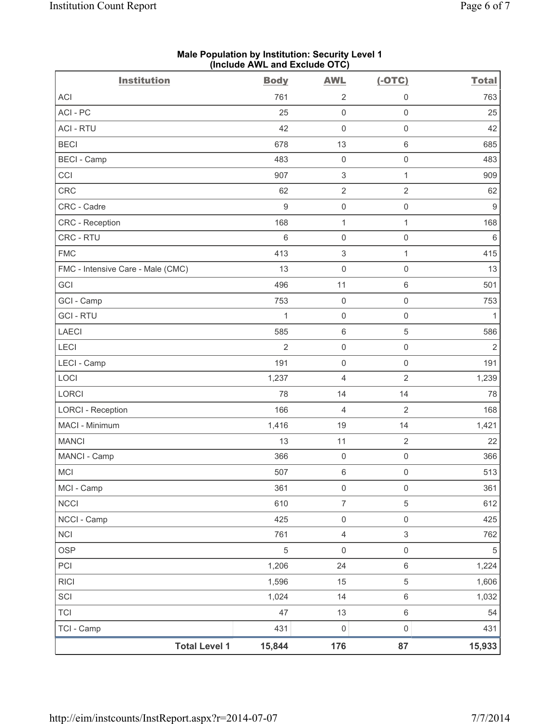|                                   |                      | (illuluut AvvL allu Exuluut OTO) |                           |                     |                  |
|-----------------------------------|----------------------|----------------------------------|---------------------------|---------------------|------------------|
| <b>Institution</b>                |                      | <b>Body</b>                      | <b>AWL</b>                | $(-OTC)$            | <b>Total</b>     |
| ACI                               |                      | 761                              | $\overline{2}$            | $\mathsf 0$         | 763              |
| ACI-PC                            |                      | 25                               | $\mathsf{O}\xspace$       | $\mathsf 0$         | 25               |
| <b>ACI - RTU</b>                  |                      | 42                               | $\mathsf{O}\xspace$       | $\mathsf{O}\xspace$ | 42               |
| <b>BECI</b>                       |                      | 678                              | 13                        | $\,6\,$             | 685              |
| <b>BECI</b> - Camp                |                      | 483                              | $\mathbf 0$               | $\mathsf 0$         | 483              |
| CCI                               |                      | 907                              | $\ensuremath{\mathsf{3}}$ | $\mathbf{1}$        | 909              |
| CRC                               |                      | 62                               | $\sqrt{2}$                | $\overline{2}$      | 62               |
| CRC - Cadre                       |                      | $\boldsymbol{9}$                 | $\mathbf 0$               | $\mathsf 0$         | $\boldsymbol{9}$ |
| CRC - Reception                   |                      | 168                              | $\mathbf{1}$              | $\mathbf{1}$        | 168              |
| CRC - RTU                         |                      | $\,6\,$                          | $\mathsf{O}\xspace$       | $\mathsf{O}\xspace$ | $\,6\,$          |
| <b>FMC</b>                        |                      | 413                              | $\ensuremath{\mathsf{3}}$ | $\mathbf{1}$        | 415              |
| FMC - Intensive Care - Male (CMC) |                      | 13                               | $\mathsf{O}\xspace$       | $\mathsf{O}\xspace$ | 13               |
| GCI                               |                      | 496                              | 11                        | $\,6\,$             | 501              |
| GCI - Camp                        |                      | 753                              | $\mathbf 0$               | $\mathsf 0$         | 753              |
| <b>GCI - RTU</b>                  |                      | 1                                | $\mathsf{O}\xspace$       | $\mathsf{O}\xspace$ | $\mathbf{1}$     |
| LAECI                             |                      | 585                              | $\,6\,$                   | $\,$ 5 $\,$         | 586              |
| LECI                              |                      | 2                                | $\mathsf{O}\xspace$       | $\mathsf{O}\xspace$ | $\sqrt{2}$       |
| LECI - Camp                       |                      | 191                              | $\mathbf 0$               | $\mathsf{O}\xspace$ | 191              |
| LOCI                              |                      | 1,237                            | $\overline{4}$            | $\overline{2}$      | 1,239            |
| LORCI                             |                      | 78                               | 14                        | 14                  | 78               |
| <b>LORCI - Reception</b>          |                      | 166                              | $\overline{4}$            | $\overline{2}$      | 168              |
| MACI - Minimum                    |                      | 1,416                            | 19                        | 14                  | 1,421            |
| <b>MANCI</b>                      |                      | 13                               | 11                        | $\sqrt{2}$          | 22               |
| MANCI - Camp                      |                      | 366                              | $\mathsf{O}\xspace$       | $\mathsf{O}\xspace$ | 366              |
| MCI                               |                      | 507                              | 6                         | $\mathsf{O}\xspace$ | 513              |
| MCI - Camp                        |                      | 361                              | $\mathsf 0$               | $\mathsf{O}\xspace$ | 361              |
| <b>NCCI</b>                       |                      | 610                              | $\overline{7}$            | 5                   | 612              |
| NCCI - Camp                       |                      | 425                              | $\mathbf 0$               | $\mathsf 0$         | 425              |
| <b>NCI</b>                        |                      | 761                              | $\overline{\mathbf{4}}$   | $\mathfrak{S}$      | 762              |
| <b>OSP</b>                        |                      | $\,$ 5 $\,$                      | $\mathsf{O}\xspace$       | $\mathsf 0$         | $\,$ 5 $\,$      |
| PCI                               |                      | 1,206                            | 24                        | $\,6\,$             | 1,224            |
| <b>RICI</b>                       |                      | 1,596                            | 15                        | 5                   | 1,606            |
| SCI                               |                      | 1,024                            | 14                        | $\,6\,$             | 1,032            |
| <b>TCI</b>                        |                      | 47                               | 13                        | $\,6\,$             | 54               |
| TCI - Camp                        |                      | 431                              | $\mathsf{O}\xspace$       | $\mathsf{O}\xspace$ | 431              |
|                                   | <b>Total Level 1</b> | 15,844                           | 176                       | 87                  | 15,933           |

#### **Male Population by Institution: Security Level 1 (Include AWL and Exclude OTC)**